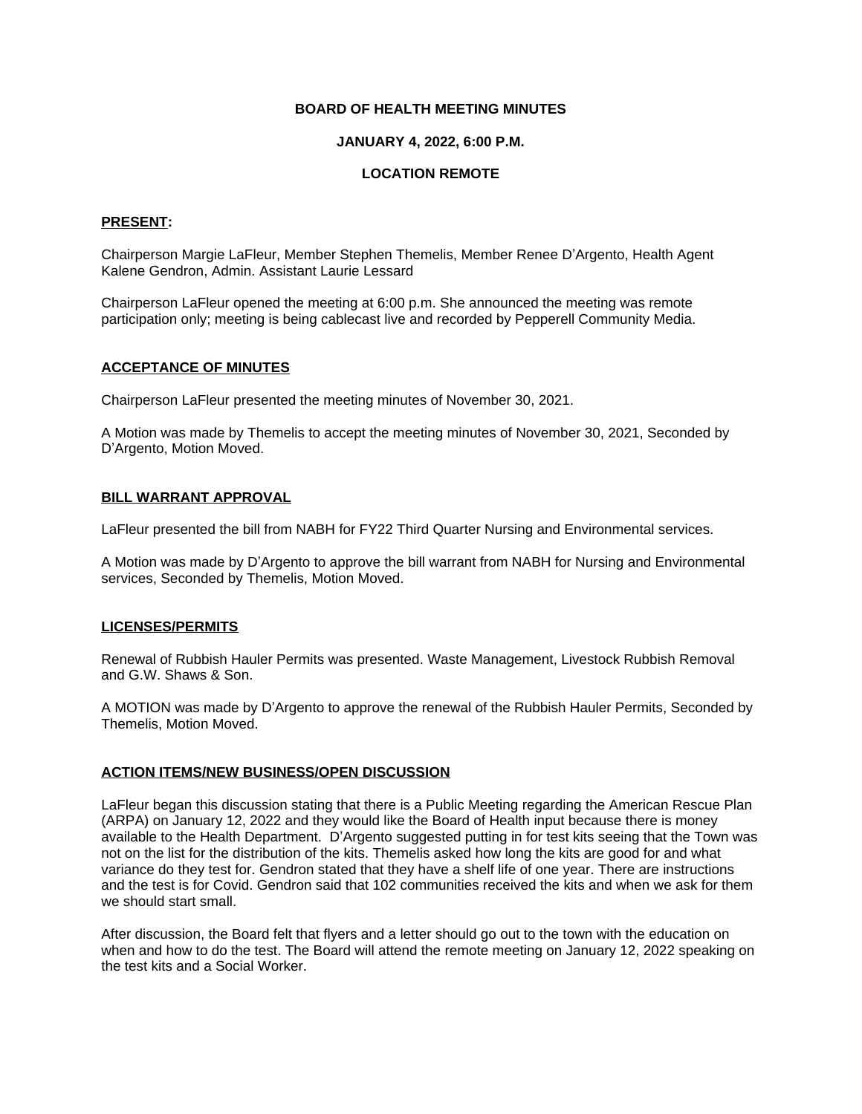## **BOARD OF HEALTH MEETING MINUTES**

### **JANUARY 4, 2022, 6:00 P.M.**

## **LOCATION REMOTE**

## **PRESENT:**

Chairperson Margie LaFleur, Member Stephen Themelis, Member Renee D'Argento, Health Agent Kalene Gendron, Admin. Assistant Laurie Lessard

Chairperson LaFleur opened the meeting at 6:00 p.m. She announced the meeting was remote participation only; meeting is being cablecast live and recorded by Pepperell Community Media.

## **ACCEPTANCE OF MINUTES**

Chairperson LaFleur presented the meeting minutes of November 30, 2021.

A Motion was made by Themelis to accept the meeting minutes of November 30, 2021, Seconded by D'Argento, Motion Moved.

## **BILL WARRANT APPROVAL**

LaFleur presented the bill from NABH for FY22 Third Quarter Nursing and Environmental services.

A Motion was made by D'Argento to approve the bill warrant from NABH for Nursing and Environmental services, Seconded by Themelis, Motion Moved.

#### **LICENSES/PERMITS**

Renewal of Rubbish Hauler Permits was presented. Waste Management, Livestock Rubbish Removal and G.W. Shaws & Son.

A MOTION was made by D'Argento to approve the renewal of the Rubbish Hauler Permits, Seconded by Themelis, Motion Moved.

## **ACTION ITEMS/NEW BUSINESS/OPEN DISCUSSION**

LaFleur began this discussion stating that there is a Public Meeting regarding the American Rescue Plan (ARPA) on January 12, 2022 and they would like the Board of Health input because there is money available to the Health Department. D'Argento suggested putting in for test kits seeing that the Town was not on the list for the distribution of the kits. Themelis asked how long the kits are good for and what variance do they test for. Gendron stated that they have a shelf life of one year. There are instructions and the test is for Covid. Gendron said that 102 communities received the kits and when we ask for them we should start small.

After discussion, the Board felt that flyers and a letter should go out to the town with the education on when and how to do the test. The Board will attend the remote meeting on January 12, 2022 speaking on the test kits and a Social Worker.